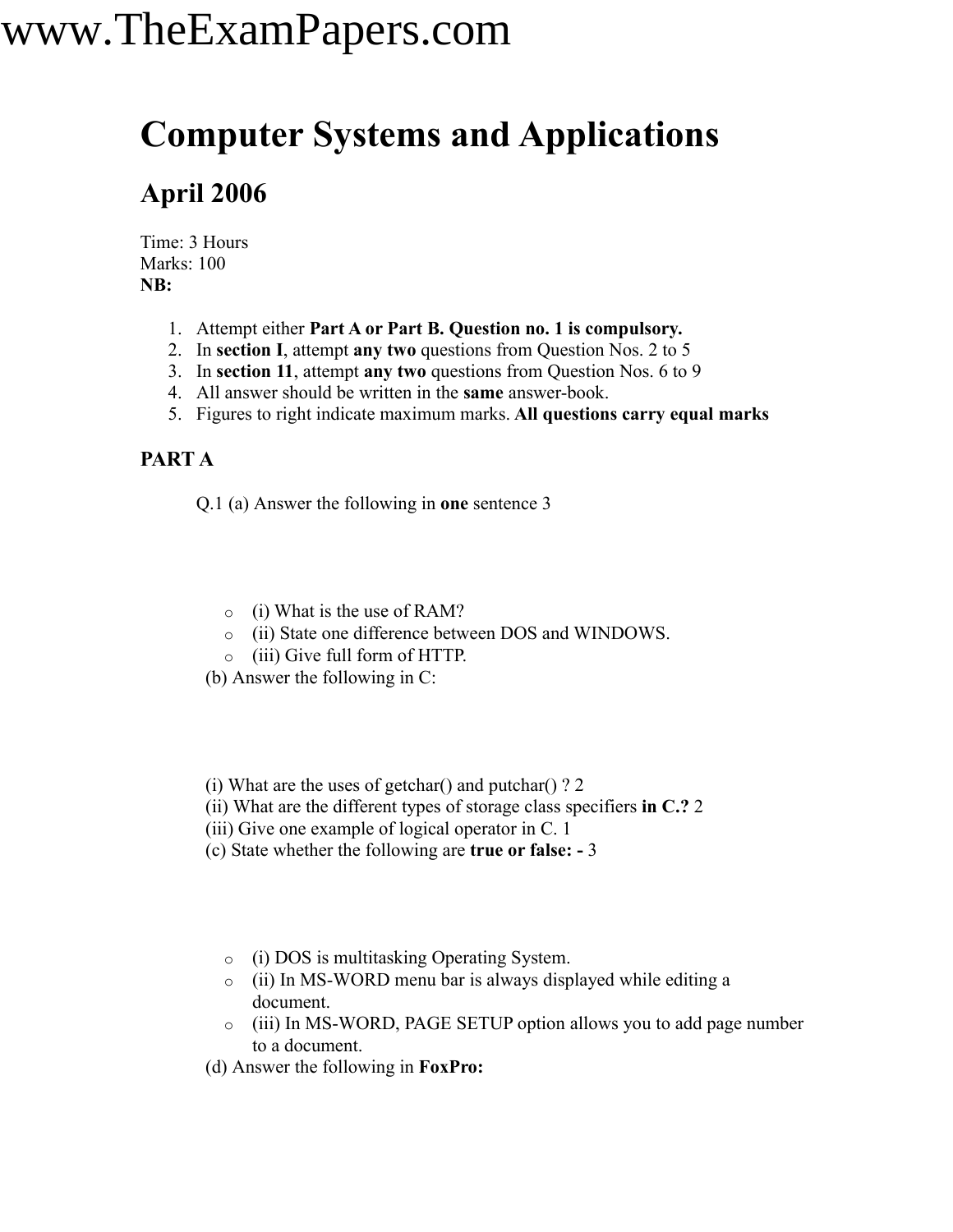### **Computer Systems and Applications**

### **April 2006**

Time: 3 Hours Marks: 100 **NB:**

- 1. Attempt either **Part A or Part B. Question no. 1 is compulsory.**
- 2. In **section I**, attempt **any two** questions from Question Nos. 2 to 5
- 3. In **section 11**, attempt **any two** questions from Question Nos. 6 to 9
- 4. All answer should be written in the **same** answer-book.
- 5. Figures to right indicate maximum marks. **All questions carry equal marks**

### **PART A**

Q.1 (a) Answer the following in **one** sentence 3

- o (i) What is the use of RAM?
- o (ii) State one difference between DOS and WINDOWS.
- o (iii) Give full form of HTTP.
- (b) Answer the following in C:
- (i) What are the uses of getchar() and putchar() ? 2
- (ii) What are the different types of storage class specifiers **in C.?** 2
- (iii) Give one example of logical operator in C. 1
- (c) State whether the following are **true or false: -** 3
	- o (i) DOS is multitasking Operating System.
	- o (ii) In MS-WORD menu bar is always displayed while editing a document.
	- o (iii) In MS-WORD, PAGE SETUP option allows you to add page number to a document.
- (d) Answer the following in **FoxPro:**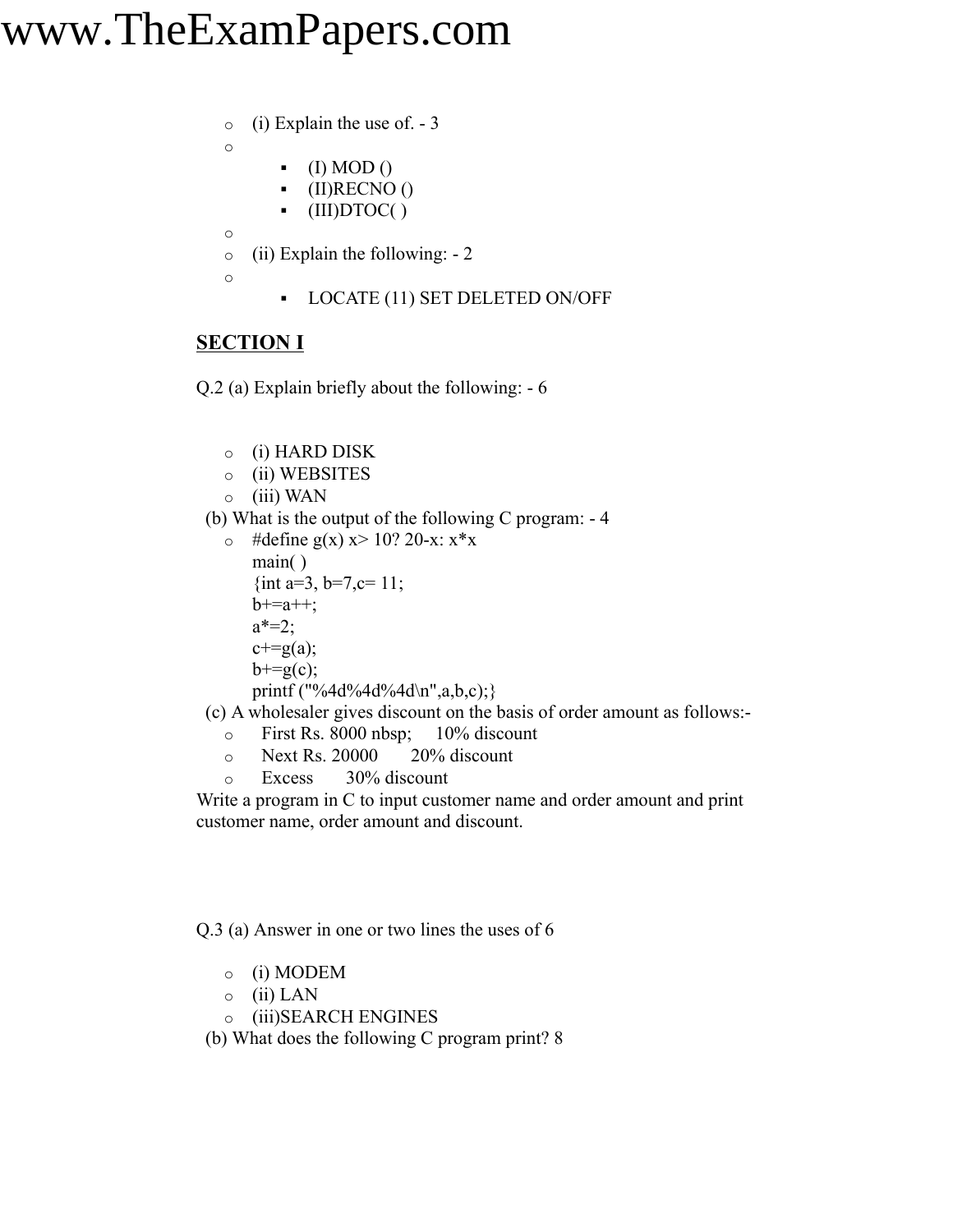o (i) Explain the use of. - 3

o

- $\bullet$  (I) MOD()
- $\bullet$  (II)RECNO ()
- $\bullet$  (III)DTOC()
- o
- o (ii) Explain the following: 2
- o
- LOCATE (11) SET DELETED ON/OFF

### **SECTION I**

Q.2 (a) Explain briefly about the following: - 6

- o (i) HARD DISK
- o (ii) WEBSITES
- $\circ$  (iii) WAN
- (b) What is the output of the following C program: 4
	- $\circ$  #define g(x) x> 10? 20-x: x\*x main( ) {int a=3, b=7, c= 11;  $b+2a++$ ;  $a^* = 2$ ;  $c+=g(a);$  $b+=g(c)$ ; printf ("%4d%4d%4d\n",a,b,c);}

(c) A wholesaler gives discount on the basis of order amount as follows:-

- o First Rs. 8000 nbsp; 10% discount
- $\circ$  Next Rs. 20000 20% discount
- o Excess 30% discount

Write a program in C to input customer name and order amount and print customer name, order amount and discount.

Q.3 (a) Answer in one or two lines the uses of 6

- o (i) MODEM
- $\circ$  (ii) LAN
- o (iii)SEARCH ENGINES
- (b) What does the following C program print? 8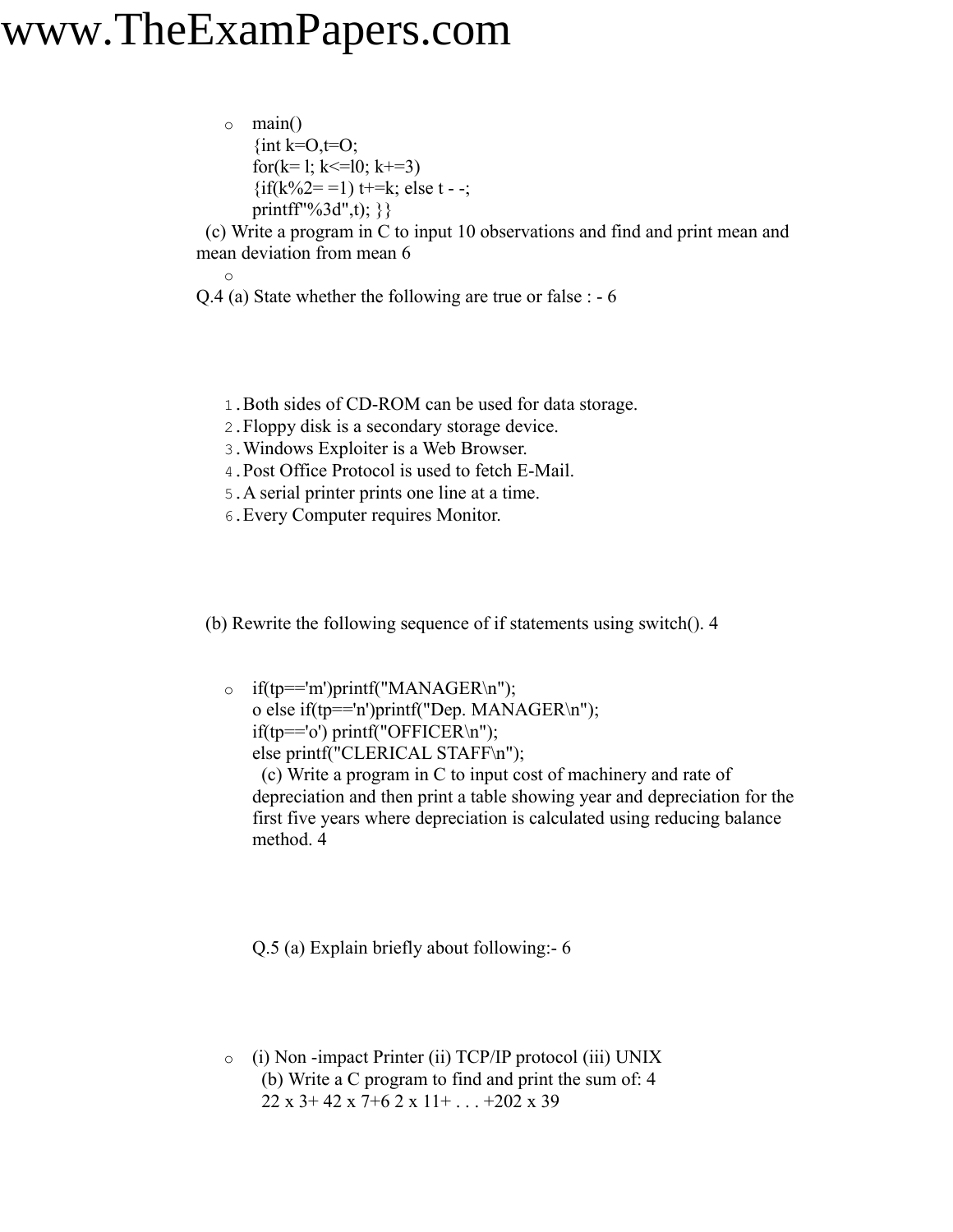o main() {int k= $O, t=O$ ; for( $k=1$ ;  $k \le 10$ ;  $k+=3$ )  $\{if(k\%2 = 1) t = k; \text{ else } t - \}$ printff"%3d",t); } }

(c) Write a program in C to input 10 observations and find and print mean and mean deviation from mean 6

- o Q.4 (a) State whether the following are true or false : - 6
	- 1.Both sides of CD-ROM can be used for data storage.
	- 2.Floppy disk is a secondary storage device.
	- 3.Windows Exploiter is a Web Browser.
	- 4.Post Office Protocol is used to fetch E-Mail.
	- 5.A serial printer prints one line at a time.
	- 6.Every Computer requires Monitor.

(b) Rewrite the following sequence of if statements using switch(). 4

o if(tp=='m')printf("MANAGER\n"); o else if(tp=='n')printf("Dep. MANAGER\n"); if(tp=='o') printf("OFFICER\n"); else printf("CLERICAL STAFF\n"); (c) Write a program in C to input cost of machinery and rate of depreciation and then print a table showing year and depreciation for the first five years where depreciation is calculated using reducing balance method. 4

Q.5 (a) Explain briefly about following:- 6

o (i) Non -impact Printer (ii) TCP/IP protocol (iii) UNIX (b) Write a C program to find and print the sum of: 4 22 x 3+ 42 x 7+6 2 x 11+ . . . +202 x 39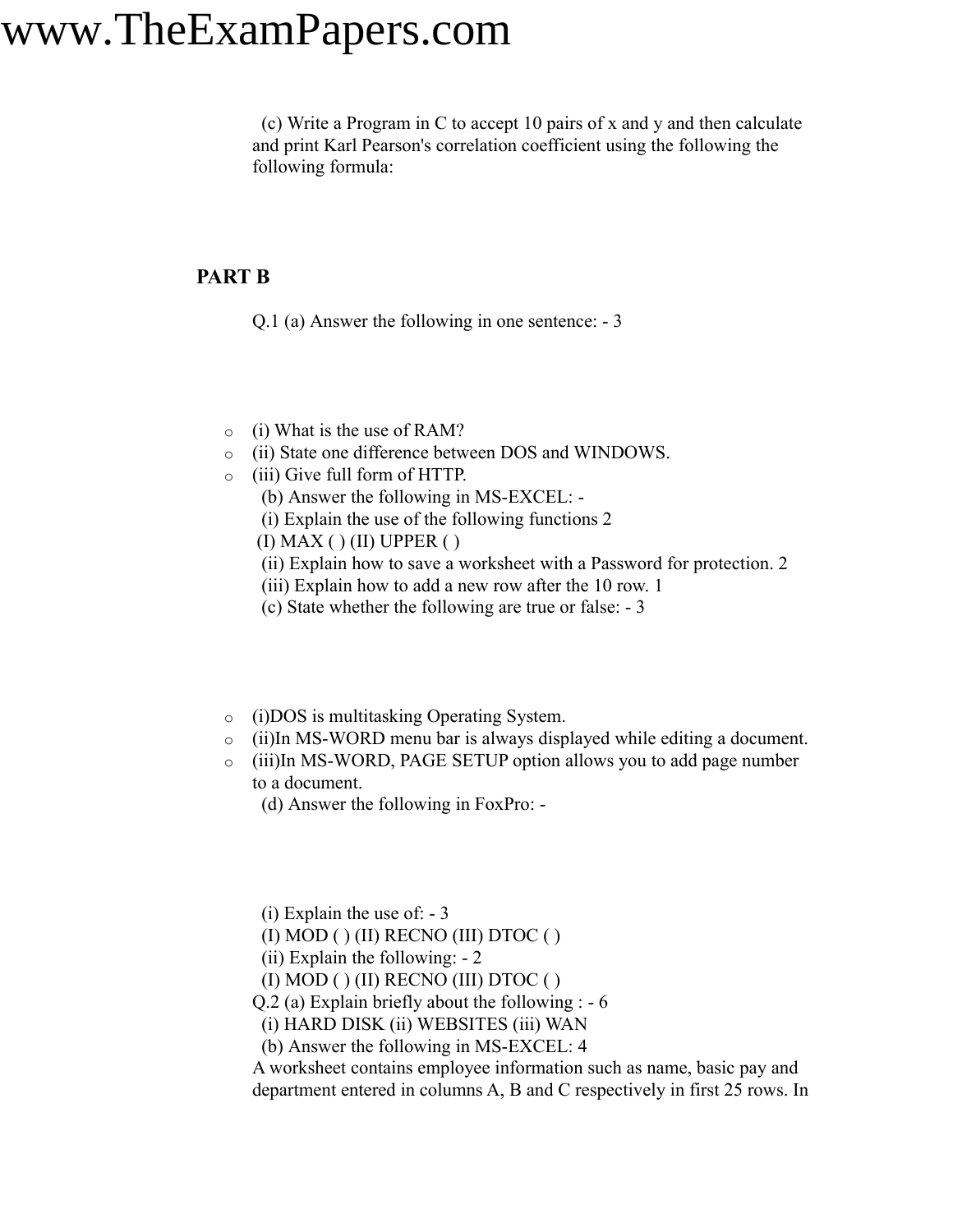(c) Write a Program in C to accept 10 pairs of x and y and then calculate and print Karl Pearson's correlation coefficient using the following the following formula:

### **PART B**

Q.1 (a) Answer the following in one sentence: - 3

- o (i) What is the use of RAM?
- o (ii) State one difference between DOS and WINDOWS.
- o (iii) Give full form of HTTP.
	- (b) Answer the following in MS-EXCEL: -
	- (i) Explain the use of the following functions 2
	- $(I)$  MAX $( )$  $(II)$  UPPER $( )$
	- (ii) Explain how to save a worksheet with a Password for protection. 2
	- (iii) Explain how to add a new row after the 10 row. 1
	- (c) State whether the following are true or false: 3
- o (i)DOS is multitasking Operating System.
- o (ii)In MS-WORD menu bar is always displayed while editing a document.
- o (iii)In MS-WORD, PAGE SETUP option allows you to add page number to a document.
	- (d) Answer the following in FoxPro: -

(i) Explain the use of: - 3

- (I) MOD ( ) (II) RECNO (III) DTOC ( )
- (ii) Explain the following: 2

(I) MOD ( ) (II) RECNO (III) DTOC ( )

Q.2 (a) Explain briefly about the following : - 6

(i) HARD DISK (ii) WEBSITES (iii) WAN

(b) Answer the following in MS-EXCEL: 4

A worksheet contains employee information such as name, basic pay and department entered in columns A, B and C respectively in first 25 rows. In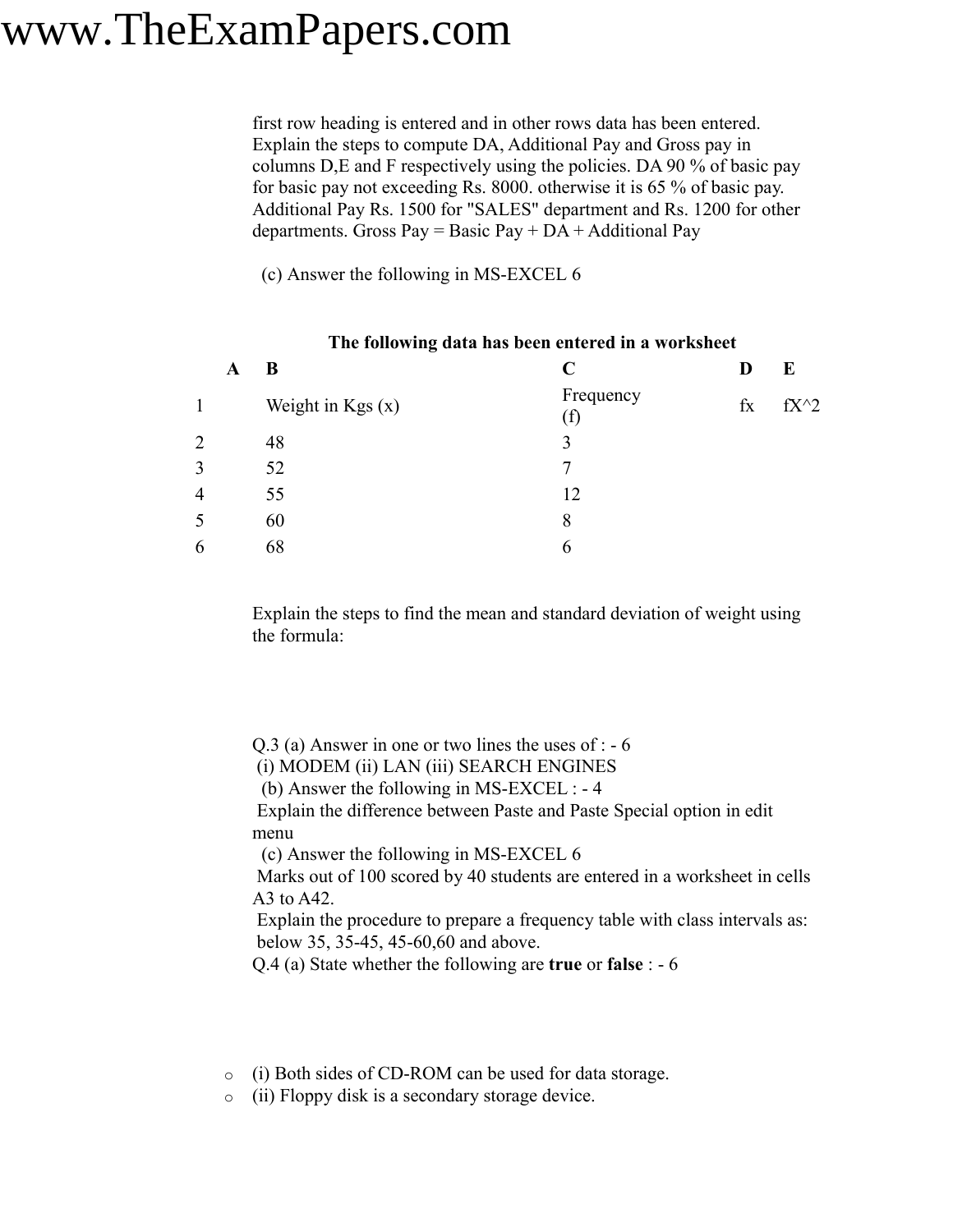first row heading is entered and in other rows data has been entered. Explain the steps to compute DA, Additional Pay and Gross pay in columns D,E and F respectively using the policies. DA 90 % of basic pay for basic pay not exceeding Rs. 8000. otherwise it is 65 % of basic pay. Additional Pay Rs. 1500 for "SALES" department and Rs. 1200 for other departments. Gross Pay = Basic Pay +  $DA$  + Additional Pay

(c) Answer the following in MS-EXCEL 6

|                | - |                    |                  |             |        |
|----------------|---|--------------------|------------------|-------------|--------|
|                | A | B                  | C                | D           | E      |
| $\mathbf{1}$   |   | Weight in $Kgs(x)$ | Frequency<br>(f) | $f_{\rm X}$ | $fX^2$ |
| $\overline{2}$ |   | 48                 | 3                |             |        |
| 3              |   | 52                 |                  |             |        |
| $\overline{4}$ |   | 55                 | 12               |             |        |
| 5              |   | 60                 | 8                |             |        |
| 6              |   | 68                 | 6                |             |        |
|                |   |                    |                  |             |        |

#### **The following data has been entered in a worksheet**

Explain the steps to find the mean and standard deviation of weight using the formula:

Q.3 (a) Answer in one or two lines the uses of : - 6

(i) MODEM (ii) LAN (iii) SEARCH ENGINES

(b) Answer the following in MS-EXCEL : - 4

Explain the difference between Paste and Paste Special option in edit menu

(c) Answer the following in MS-EXCEL 6

Marks out of 100 scored by 40 students are entered in a worksheet in cells A3 to A42.

Explain the procedure to prepare a frequency table with class intervals as: below 35, 35-45, 45-60,60 and above.

Q.4 (a) State whether the following are **true** or **false** : - 6

- o (i) Both sides of CD-ROM can be used for data storage.
- o (ii) Floppy disk is a secondary storage device.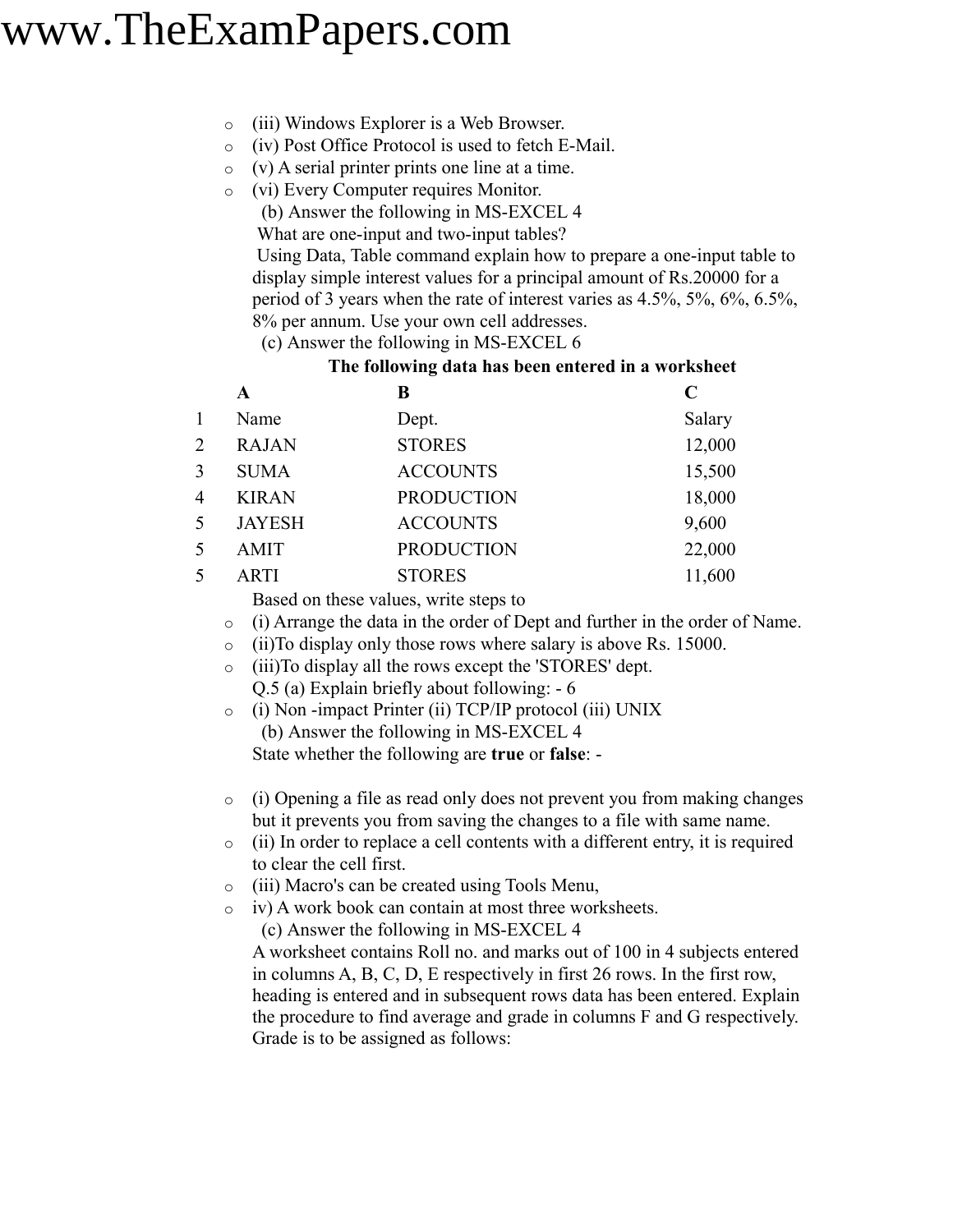- o (iii) Windows Explorer is a Web Browser.
- o (iv) Post Office Protocol is used to fetch E-Mail.
- $\circ$  (v) A serial printer prints one line at a time.
- o (vi) Every Computer requires Monitor.
	- (b) Answer the following in MS-EXCEL 4

What are one-input and two-input tables?

Using Data, Table command explain how to prepare a one-input table to display simple interest values for a principal amount of Rs.20000 for a period of 3 years when the rate of interest varies as 4.5%, 5%, 6%, 6.5%, 8% per annum. Use your own cell addresses.

(c) Answer the following in MS-EXCEL 6

#### **The following data has been entered in a worksheet**

|   | A             | B                 | C      |
|---|---------------|-------------------|--------|
|   | Name          | Dept.             | Salary |
| 2 | <b>RAJAN</b>  | <b>STORES</b>     | 12,000 |
| 3 | <b>SUMA</b>   | <b>ACCOUNTS</b>   | 15,500 |
| 4 | <b>KIRAN</b>  | <b>PRODUCTION</b> | 18,000 |
| 5 | <b>JAYESH</b> | <b>ACCOUNTS</b>   | 9,600  |
| 5 | <b>AMIT</b>   | <b>PRODUCTION</b> | 22,000 |
| 5 | ARTI          | <b>STORES</b>     | 11,600 |

Based on these values, write steps to

- o (i) Arrange the data in the order of Dept and further in the order of Name.
- o (ii)To display only those rows where salary is above Rs. 15000.
- o (iii)To display all the rows except the 'STORES' dept.
	- Q.5 (a) Explain briefly about following: 6
- o (i) Non -impact Printer (ii) TCP/IP protocol (iii) UNIX (b) Answer the following in MS-EXCEL 4 State whether the following are **true** or **false**: -
- o (i) Opening a file as read only does not prevent you from making changes but it prevents you from saving the changes to a file with same name.
- o (ii) In order to replace a cell contents with a different entry, it is required to clear the cell first.
- o (iii) Macro's can be created using Tools Menu,
- o iv) A work book can contain at most three worksheets.

(c) Answer the following in MS-EXCEL 4

A worksheet contains Roll no. and marks out of 100 in 4 subjects entered in columns A, B, C, D, E respectively in first 26 rows. In the first row, heading is entered and in subsequent rows data has been entered. Explain the procedure to find average and grade in columns F and G respectively. Grade is to be assigned as follows: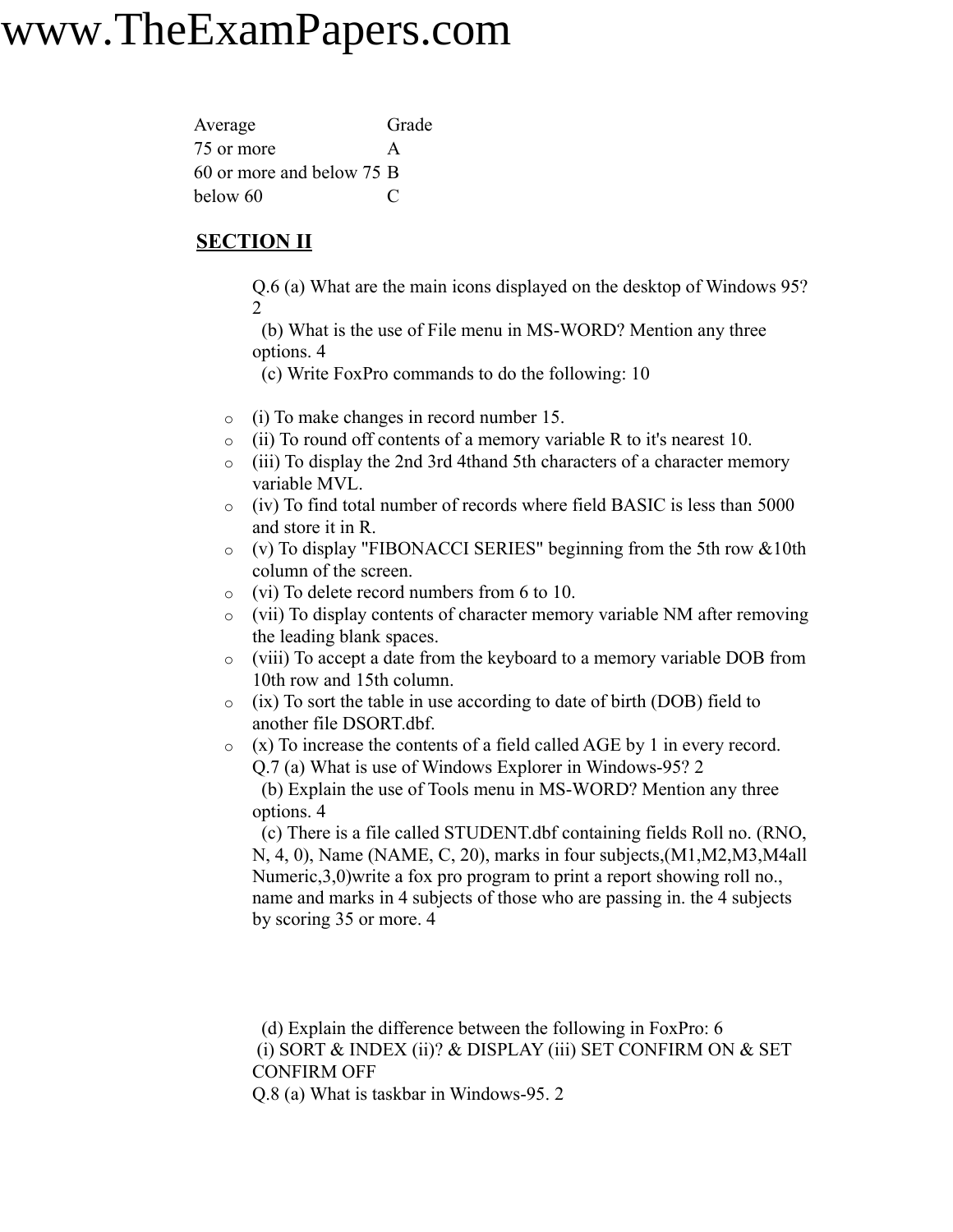| Average                   | Grade |
|---------------------------|-------|
| 75 or more                | A     |
| 60 or more and below 75 B |       |
| below 60                  |       |

### **SECTION II**

Q.6 (a) What are the main icons displayed on the desktop of Windows 95? 2

(b) What is the use of File menu in MS-WORD? Mention any three options. 4

(c) Write FoxPro commands to do the following: 10

- o (i) To make changes in record number 15.
- o (ii) To round off contents of a memory variable R to it's nearest 10.
- o (iii) To display the 2nd 3rd 4thand 5th characters of a character memory variable MVL.
- o (iv) To find total number of records where field BASIC is less than 5000 and store it in R.
- o (v) To display "FIBONACCI SERIES" beginning from the 5th row &10th column of the screen.
- o (vi) To delete record numbers from 6 to 10.
- o (vii) To display contents of character memory variable NM after removing the leading blank spaces.
- o (viii) To accept a date from the keyboard to a memory variable DOB from 10th row and 15th column.
- o (ix) To sort the table in use according to date of birth (DOB) field to another file DSORT.dbf.
- o (x) To increase the contents of a field called AGE by 1 in every record. Q.7 (a) What is use of Windows Explorer in Windows-95? 2

(b) Explain the use of Tools menu in MS-WORD? Mention any three options. 4

(c) There is a file called STUDENT.dbf containing fields Roll no. (RNO, N, 4, 0), Name (NAME, C, 20), marks in four subjects,(M1,M2,M3,M4all Numeric,3,0)write a fox pro program to print a report showing roll no., name and marks in 4 subjects of those who are passing in. the 4 subjects by scoring 35 or more. 4

(d) Explain the difference between the following in FoxPro: 6 (i) SORT & INDEX (ii)? & DISPLAY (iii) SET CONFIRM ON & SET CONFIRM OFF

Q.8 (a) What is taskbar in Windows-95. 2